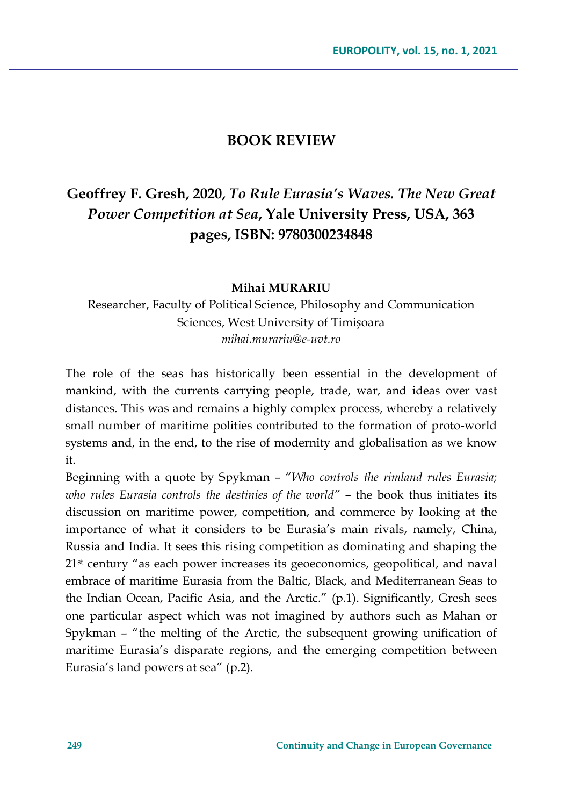## **BOOK REVIEW**

## **Geoffrey F. Gresh, 2020,** *To Rule Eurasia's Waves. The New Great Power Competition at Sea***, Yale University Press, USA, 363 pages, ISBN: 9780300234848**

## **Mihai MURARIU**

Researcher, Faculty of Political Science, Philosophy and Communication Sciences, West University of Timișoara *mihai.murariu@e-uvt.ro*

The role of the seas has historically been essential in the development of mankind, with the currents carrying people, trade, war, and ideas over vast distances. This was and remains a highly complex process, whereby a relatively small number of maritime polities contributed to the formation of proto-world systems and, in the end, to the rise of modernity and globalisation as we know it.

Beginning with a quote by Spykman – "*Who controls the rimland rules Eurasia; who rules Eurasia controls the destinies of the world" –* the book thus initiates its discussion on maritime power, competition, and commerce by looking at the importance of what it considers to be Eurasia's main rivals, namely, China, Russia and India. It sees this rising competition as dominating and shaping the 21st century "as each power increases its geoeconomics, geopolitical, and naval embrace of maritime Eurasia from the Baltic, Black, and Mediterranean Seas to the Indian Ocean, Pacific Asia, and the Arctic." (p.1). Significantly, Gresh sees one particular aspect which was not imagined by authors such as Mahan or Spykman – "the melting of the Arctic, the subsequent growing unification of maritime Eurasia's disparate regions, and the emerging competition between Eurasia's land powers at sea" (p.2).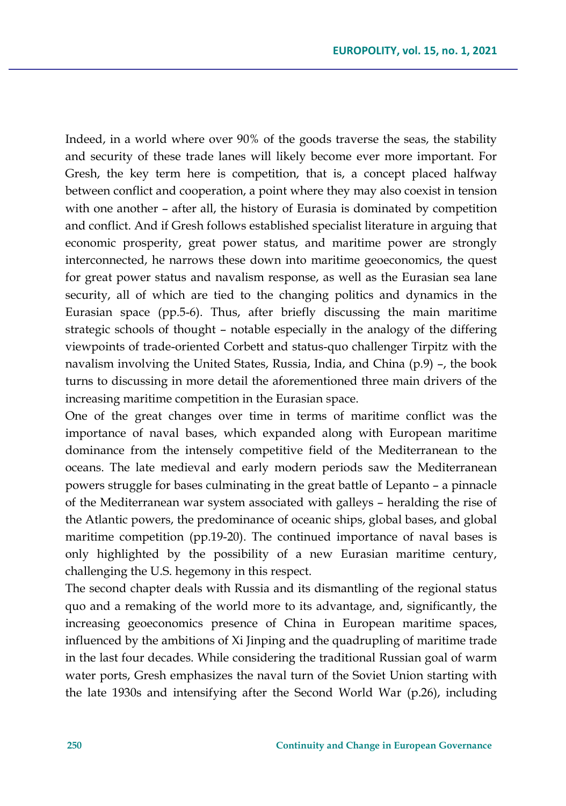Indeed, in a world where over 90% of the goods traverse the seas, the stability and security of these trade lanes will likely become ever more important. For Gresh, the key term here is competition, that is, a concept placed halfway between conflict and cooperation, a point where they may also coexist in tension with one another – after all, the history of Eurasia is dominated by competition and conflict. And if Gresh follows established specialist literature in arguing that economic prosperity, great power status, and maritime power are strongly interconnected, he narrows these down into maritime geoeconomics, the quest for great power status and navalism response, as well as the Eurasian sea lane security, all of which are tied to the changing politics and dynamics in the Eurasian space (pp.5-6). Thus, after briefly discussing the main maritime strategic schools of thought – notable especially in the analogy of the differing viewpoints of trade-oriented Corbett and status-quo challenger Tirpitz with the navalism involving the United States, Russia, India, and China (p.9) –, the book turns to discussing in more detail the aforementioned three main drivers of the increasing maritime competition in the Eurasian space.

One of the great changes over time in terms of maritime conflict was the importance of naval bases, which expanded along with European maritime dominance from the intensely competitive field of the Mediterranean to the oceans. The late medieval and early modern periods saw the Mediterranean powers struggle for bases culminating in the great battle of Lepanto – a pinnacle of the Mediterranean war system associated with galleys – heralding the rise of the Atlantic powers, the predominance of oceanic ships, global bases, and global maritime competition (pp.19-20). The continued importance of naval bases is only highlighted by the possibility of a new Eurasian maritime century, challenging the U.S. hegemony in this respect.

The second chapter deals with Russia and its dismantling of the regional status quo and a remaking of the world more to its advantage, and, significantly, the increasing geoeconomics presence of China in European maritime spaces, influenced by the ambitions of Xi Jinping and the quadrupling of maritime trade in the last four decades. While considering the traditional Russian goal of warm water ports, Gresh emphasizes the naval turn of the Soviet Union starting with the late 1930s and intensifying after the Second World War (p.26), including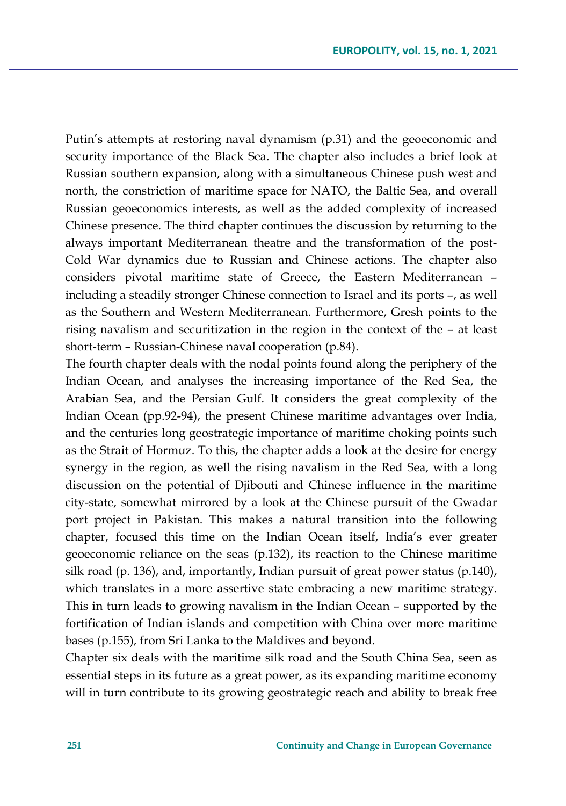Putin's attempts at restoring naval dynamism (p.31) and the geoeconomic and security importance of the Black Sea. The chapter also includes a brief look at Russian southern expansion, along with a simultaneous Chinese push west and north, the constriction of maritime space for NATO, the Baltic Sea, and overall Russian geoeconomics interests, as well as the added complexity of increased Chinese presence. The third chapter continues the discussion by returning to the always important Mediterranean theatre and the transformation of the post-Cold War dynamics due to Russian and Chinese actions. The chapter also considers pivotal maritime state of Greece, the Eastern Mediterranean – including a steadily stronger Chinese connection to Israel and its ports –, as well as the Southern and Western Mediterranean. Furthermore, Gresh points to the rising navalism and securitization in the region in the context of the – at least short-term – Russian-Chinese naval cooperation (p.84).

The fourth chapter deals with the nodal points found along the periphery of the Indian Ocean, and analyses the increasing importance of the Red Sea, the Arabian Sea, and the Persian Gulf. It considers the great complexity of the Indian Ocean (pp.92-94), the present Chinese maritime advantages over India, and the centuries long geostrategic importance of maritime choking points such as the Strait of Hormuz. To this, the chapter adds a look at the desire for energy synergy in the region, as well the rising navalism in the Red Sea, with a long discussion on the potential of Djibouti and Chinese influence in the maritime city-state, somewhat mirrored by a look at the Chinese pursuit of the Gwadar port project in Pakistan. This makes a natural transition into the following chapter, focused this time on the Indian Ocean itself, India's ever greater geoeconomic reliance on the seas (p.132), its reaction to the Chinese maritime silk road (p. 136), and, importantly, Indian pursuit of great power status (p.140), which translates in a more assertive state embracing a new maritime strategy. This in turn leads to growing navalism in the Indian Ocean – supported by the fortification of Indian islands and competition with China over more maritime bases (p.155), from Sri Lanka to the Maldives and beyond.

Chapter six deals with the maritime silk road and the South China Sea, seen as essential steps in its future as a great power, as its expanding maritime economy will in turn contribute to its growing geostrategic reach and ability to break free